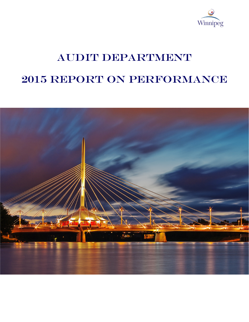

# AUDIT DEPARTMENT 2015 Report on Performance

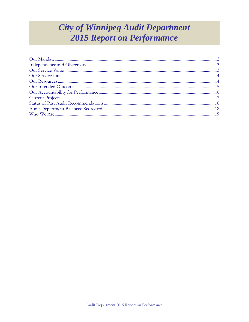# **City of Winnipeg Audit Department 2015 Report on Performance**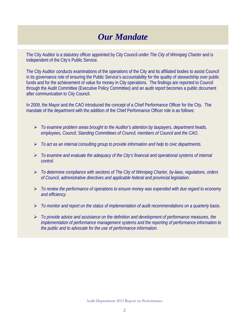# *Our Mandate*

The City Auditor is a statutory officer appointed by City Council under *The City of Winnipeg Charter* and is independent of the City's Public Service.

The City Auditor conducts examinations of the operations of the City and its affiliated bodies to assist Council in its governance role of ensuring the Public Service's accountability for the quality of stewardship over public funds and for the achievement of value for money in City operations. The findings are reported to Council through the Audit Committee (Executive Policy Committee) and an audit report becomes a public document after communication to City Council.

In 2009, the Mayor and the CAO introduced the concept of a Chief Performance Officer for the City. The mandate of the department with the addition of the Chief Performance Officer role is as follows:

- *To examine problem areas brought to the Auditor's attention by taxpayers, department heads, employees, Council, Standing Committees of Council, members of Council and the CAO.*
- *To act as an internal consulting group to provide information and help to civic departments.*
- *To examine and evaluate the adequacy of the City's financial and operational systems of internal control.*
- *To determine compliance with sections of The City of Winnipeg Charter, by-laws, regulations, orders of Council, administrative directives and applicable federal and provincial legislation.*
- *To review the performance of operations to ensure money was expended with due regard to economy and efficiency.*
- *To monitor and report on the status of implementation of audit recommendations on a quarterly basis.*
- *To provide advice and assistance on the definition and development of performance measures, the implementation of performance management systems and the reporting of performance information to the public and to advocate for the use of performance information.*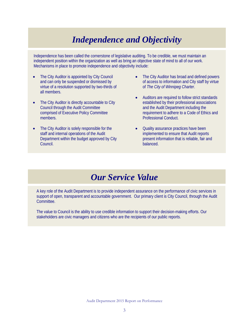# *Independence and Objectivity*

Independence has been called the cornerstone of legislative auditing. To be credible, we must maintain an independent position within the organization as well as bring an objective state of mind to all of our work. Mechanisms in place to promote independence and objectivity include:

- The City Auditor is appointed by City Council and can only be suspended or dismissed by virtue of a resolution supported by two-thirds of all members.
- The City Auditor is directly accountable to City Council through the Audit Committee comprised of Executive Policy Committee members.
- The City Auditor is solely responsible for the staff and internal operations of the Audit Department within the budget approved by City Council.
- The City Auditor has broad and defined powers of access to information and City staff by virtue of *The City of Winnipeg Charter*.
- Auditors are required to follow strict standards established by their professional associations and the Audit Department including the requirement to adhere to a Code of Ethics and Professional Conduct.
- Quality assurance practices have been implemented to ensure that Audit reports present information that is reliable, fair and balanced.

### *Our Service Value*

<span id="page-3-0"></span>A key role of the Audit Department is to provide independent assurance on the performance of civic services in support of open, transparent and accountable government. Our primary client is City Council, through the Audit Committee.

The value to Council is the ability to use credible information to support their decision-making efforts. Our stakeholders are civic managers and citizens who are the recipients of our public reports.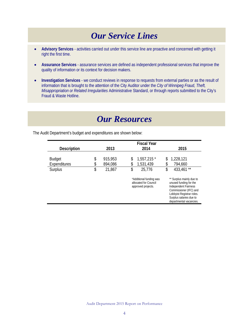# *Our Service Lines*

- <span id="page-4-0"></span>• **Advisory Services** - activities carried out under this service line are proactive and concerned with getting it right the first time.
- **Assurance Services** assurance services are defined as independent professional services that improve the quality of information or its context for decision makers.
- **Investigation Services** we conduct reviews in response to requests from external parties or as the result of information that is brought to the attention of the City Auditor under the *City of Winnipeg Fraud, Theft, Misappropriation or Related Irregularities* Administrative Standard, or through reports submitted to the City's Fraud & Waste Hotline.

# *Our Resources*

**Fiscal Year Description 2013 2014 2015** Budget \$ 915,953 \$ 1,557,215 \* \$ 1,228,121 Expenditures \$ 894,086 \$ 1,531,439 \$ 794,660 Surplus \$ 21,867 \$ 25,776 \*Additional funding was allocated for Council approved projects.  $$ 433,461$ \*\* \*\* Surplus mainly due to unused funding for the Independent Fairness Commissioner (IFC) and Lobbyist Registrar roles. Surplus salaries due to departmental vacancies.

<span id="page-4-1"></span>The Audit Department's budget and expenditures are shown below: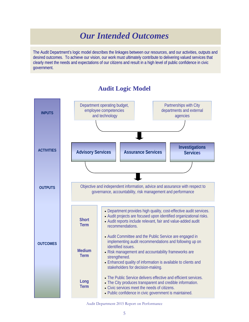# *Our Intended Outcomes*

<span id="page-5-0"></span>The Audit Department's logic model describes the linkages between our resources, and our activities, outputs and desired outcomes. To achieve our vision, our work must ultimately contribute to delivering valued services that clearly meet the needs and expectations of our citizens and result in a high level of public confidence in civic government.



#### **Audit Logic Model**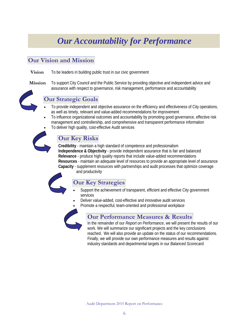# *Our Accountability for Performance*

### <span id="page-6-0"></span>**Our Vision and Mission**

**Vision** To be leaders in building public trust in our civic government

**Mission** To support City Council and the Public Service by providing objective and independent advice and assurance with respect to governance, risk management, performance and accountability



#### **Our Strategic Goals**

- To provide independent and objective assurance on the efficiency and effectiveness of City operations, as well as timely, relevant and value-added recommendations for improvement
- To influence organizational outcomes and accountability by promoting good governance, effective risk management and controllership, and comprehensive and transparent performance information
- To deliver high quality, cost-effective Audit services



### **Our Key Risks**

**Credibility** - maintain a high standard of competence and professionalism **Independence & Objectivity** - provide independent assurance that is fair and balanced **Relevance** - produce high quality reports that include value-added recommendations **Resources** - maintain an adequate level of resources to provide an appropriate level of assurance **Capacity** - supplement resources with partnerships and audit processes that optimize coverage

and productivity

### **Our Key Strategies**

- Support the achievement of transparent, efficient and effective City government services
- Deliver value-added, cost-effective and innovative audit services
- Promote a respectful, team-oriented and professional workplace



### **Our Performance Measures & Results**

In the remainder of our *Report on Performance*, we will present the results of our work. We will summarize our significant projects and the key conclusions reached. We will also provide an update on the status of our recommendations. Finally, we will provide our own performance measures and results against industry standards and departmental targets in our *Balanced Scorecard.*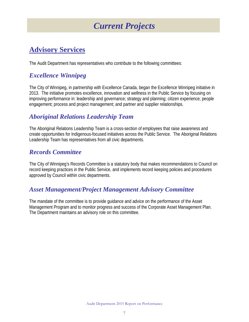# *Current Projects*

### <span id="page-7-0"></span>**Advisory Services**

The Audit Department has representatives who contribute to the following committees:

### *Excellence Winnipeg*

The City of Winnipeg, in partnership with Excellence Canada, began the Excellence Winnipeg initiative in 2013. The initiative promotes excellence, innovation and wellness in the Public Service by focusing on improving performance in: leadership and governance; strategy and planning; citizen experience; people engagement; process and project management; and partner and supplier relationships.

### *Aboriginal Relations Leadership Team*

The Aboriginal Relations Leadership Team is a cross-section of employees that raise awareness and create opportunities for Indigenous-focused initiatives across the Public Service. The Aboriginal Relations Leadership Team has representatives from all civic departments.

### *Records Committee*

The City of Winnipeg's Records Committee is a statutory body that makes recommendations to Council on record keeping practices in the Public Service, and implements record keeping policies and procedures approved by Council within civic departments.

### *Asset Management/Project Management Advisory Committee*

The mandate of the committee is to provide guidance and advice on the performance of the Asset Management Program and to monitor progress and success of the Corporate Asset Management Plan. The Department maintains an advisory role on this committee.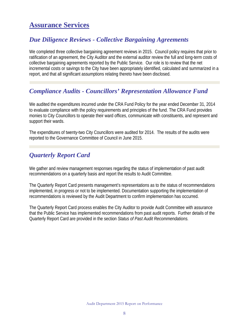### **Assurance Services**

### *Due Diligence Reviews - Collective Bargaining Agreements*

We completed three collective bargaining agreement reviews in 2015. Council policy requires that prior to ratification of an agreement, the City Auditor and the external auditor review the full and long-term costs of collective bargaining agreements reported by the Public Service. Our role is to review that the net incremental costs or savings to the City have been appropriately identified, calculated and summarized in a report, and that all significant assumptions relating thereto have been disclosed.

### *Compliance Audits - Councillors' Representation Allowance Fund*

We audited the expenditures incurred under the CRA Fund Policy for the year ended December 31, 2014 to evaluate compliance with the policy requirements and principles of the fund. The CRA Fund provides monies to City Councillors to operate their ward offices, communicate with constituents, and represent and support their wards.

The expenditures of twenty-two City Councillors were audited for 2014. The results of the audits were reported to the Governance Committee of Council in June 2015.

### *Quarterly Report Card*

We gather and review management responses regarding the status of implementation of past audit recommendations on a quarterly basis and report the results to Audit Committee.

The Quarterly Report Card presents management's representations as to the status of recommendations implemented, in progress or not to be implemented. Documentation supporting the implementation of recommendations is reviewed by the Audit Department to confirm implementation has occurred.

The Quarterly Report Card process enables the City Auditor to provide Audit Committee with assurance that the Public Service has implemented recommendations from past audit reports. Further details of the Quarterly Report Card are provided in the section *Status of Past Audit Recommendations.*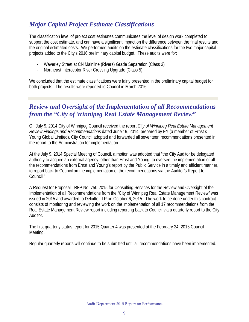### *Major Capital Project Estimate Classifications*

The classification level of project cost estimates communicates the level of design work completed to support the cost estimate, and can have a significant impact on the difference between the final results and the original estimated costs. We performed audits on the estimate classifications for the two major capital projects added to the City's 2016 preliminary capital budget. These audits were for:

- Waverley Street at CN Mainline (Rivers) Grade Separation (Class 3)
- Northeast Interceptor River Crossing Upgrade (Class 5)

We concluded that the estimate classifications were fairly presented in the preliminary capital budget for both projects. The results were reported to Council in March 2016.

### *Review and Oversight of the Implementation of all Recommendations from the "City of Winnipeg Real Estate Management Review"*

On July 9, 2014 City of Winnipeg Council received the report *City of Winnipeg Real Estate Management Review Findings and Recommendations* dated June 19, 2014, prepared by EY (a member of Ernst & Young Global Limited). City Council adopted and forwarded all seventeen recommendations presented in the report to the Administration for implementation.

At the July 9, 2014 Special Meeting of Council, a motion was adopted that "the City Auditor be delegated authority to acquire an external agency, other than Ernst and Young, to oversee the implementation of all the recommendations from Ernst and Young's report by the Public Service in a timely and efficient manner, to report back to Council on the implementation of the recommendations via the Auditor's Report to Council."

A Request for Proposal - RFP No. 750-2015 for Consulting Services for the Review and Oversight of the Implementation of all Recommendations from the "City of Winnipeg Real Estate Management Review" was issued in 2015 and awarded to Deloitte LLP on October 6, 2015. The work to be done under this contract consists of monitoring and reviewing the work on the implementation of all 17 recommendations from the Real Estate Management Review report including reporting back to Council via a quarterly report to the City Auditor.

The first quarterly status report for 2015 Quarter 4 was presented at the February 24, 2016 Council Meeting.

Regular quarterly reports will continue to be submitted until all recommendations have been implemented.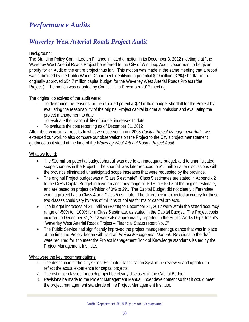### *Performance Audits*

### *[Waverley West Arterial Roads Project Audit](http://winnipeg.ca/audit/pdfs/reports/2015/WWARPFinalReport.pdf)*

#### Background:

The Standing Policy Committee on Finance initiated a motion in its December 3, 2012 meeting that "the Waverley West Arterial Roads Project be referred to the City of Winnipeg Audit Department to be given priority for an Audit of the entire project thus far." This motion was made in the same meeting that a report was submitted by the Public Works Department identifying a potential \$20 million (37%) shortfall in the originally approved \$54.7 million capital budget for the Waverley West Arterial Roads Project ("the Project"). The motion was adopted by Council in its December 2012 meeting.

The original objectives of the audit were:

- To determine the reasons for the reported potential \$20 million budget shortfall for the Project by evaluating the reasonability of the original Project capital budget submission and evaluating the project management to date
- To evaluate the reasonability of budget increases to date
- To evaluate the cost reporting as of December 31, 2012

After observing similar results to what we observed in our 2008 *Capital Project Management Audit*, we extended our work to also compare our observations on the Project to the City's project management guidance as it stood at the time of the *Waverley West Arterial Roads Project Audit*.

#### What we found:

- The \$20 million potential budget shortfall was due to an inadequate budget, and to unanticipated scope changes in the Project. The shortfall was later reduced to \$15 million after discussions with the province eliminated unanticipated scope increases that were requested by the province.
- The original Project budget was a "Class 5 estimate". Class 5 estimates are stated in Appendix 2 to the City's Capital Budget to have an accuracy range of -50% to +100% of the original estimate, and are based on project definition of 0% to 2%. The Capital Budget did not clearly differentiate when a project had a Class 4 or a Class 5 estimate. The difference in expected accuracy for these two classes could vary by tens of millions of dollars for major capital projects.
- The budget increases of \$15 million (+27%) to December 31, 2012 were within the stated accuracy range of -50% to +100% for a Class 5 estimate, as stated in the Capital Budget. The Project costs incurred to December 31, 2012 were also appropriately reported in the Public Works Department's "Waverley West Arterial Roads Project – Financial Status report No. 2".
- The Public Service had significantly improved the project management guidance that was in place at the time the Project began with its draft *Project Management Manual*. Revisions to the draft were required for it to meet the Project Management Book of Knowledge standards issued by the Project Management Institute.

What were the key recommendations:

- 1. The description of the City's Cost Estimate Classification System be reviewed and updated to reflect the actual experience for capital projects.
- 2. The estimate classes for each project be clearly disclosed in the Capital Budget.
- 3. Revisions be made to the Project Management Manual under development so that it would meet the project management standards of the Project Management Institute.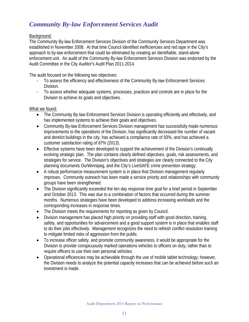### *[Community By-law Enforcement Services Audit](http://winnipeg.ca/audit/pdfs/reports/2015/CommunityBylawEnforcementServicesAudit.pdf)*

#### Background:

The Community By-law Enforcement Services Division of the Community Services Department was established in November 2008. At that time Council identified inefficiencies and red tape in the City's approach to by-law enforcement that could be eliminated by creating an identifiable, stand-alone enforcement unit. An audit of the Community By-law Enforcement Services Division was endorsed by the Audit Committee in the City Auditor's Audit Plan 2011-2014.

The audit focused on the following two objectives:

- To assess the efficiency and effectiveness of the Community By-law Enforcement Services Division.
- To assess whether adequate systems, processes, practices and controls are in place for the Division to achieve its goals and objectives.

#### What we found:

- The Community By-law Enforcement Services Division is operating efficiently and effectively, and has implemented systems to achieve their goals and objectives.
- Community By-law Enforcement Services Division management has successfully made numerous improvements to the operations of the Division, has significantly decreased the number of vacant and derelict buildings in the city, has achieved a compliance rate of 93%, and has achieved a customer satisfaction rating of 87% (2013).
- Effective systems have been developed to support the achievement of the Division's continually evolving strategic plan. The plan contains clearly defined objectives, goals, risk assessments, and strategies for service. The Division's objectives and strategies are clearly connected to the City planning documents OurWinnipeg, and the City's LiveSAFE crime prevention strategy.
- A robust performance measurement system is in place that Division management regularly improves. Community outreach has been made a service priority and relationships with community groups have been strengthened.
- The Division significantly exceeded the ten day response time goal for a brief period in September and October 2013. This was due to a combination of factors that occurred during the summer months. Numerous strategies have been developed to address increasing workloads and the corresponding increases in response times.
- The Division meets the requirements for reporting as given by Council.
- Division management has placed high priority on providing staff with good direction, training, safety, and opportunities for advancement and a good support system is in place that enables staff to do their jobs effectively. Management recognizes the need to refresh conflict resolution training to mitigate limited risks of aggression from the public.
- To increase officer safety, and promote community awareness, it would be appropriate for the Division to provide conspicuously marked operations vehicles to officers on duty, rather than to require officers to use their own personal vehicles.
- Operational efficiencies may be achievable through the use of mobile tablet technology; however, the Division needs to analyze the potential capacity increases that can be achieved before such an investment is made.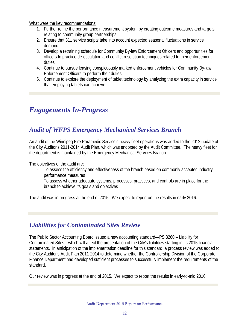What were the key recommendations:

- 1. Further refine the performance measurement system by creating outcome measures and targets relating to community group partnerships.
- 2. Ensure that 311 service scripts take into account expected seasonal fluctuations in service demand.
- 3. Develop a retraining schedule for Community By-law Enforcement Officers and opportunities for officers to practice de-escalation and conflict resolution techniques related to their enforcement duties.
- 4. Continue to pursue leasing conspicuously marked enforcement vehicles for Community By-law Enforcement Officers to perform their duties.
- 5. Continue to explore the deployment of tablet technology by analyzing the extra capacity in service that employing tablets can achieve.

### *Engagements In-Progress*

### *Audit of WFPS Emergency Mechanical Services Branch*

An audit of the Winnipeg Fire Paramedic Service's heavy fleet operations was added to the 2012 update of the City Auditor's 2011-2014 Audit Plan, which was endorsed by the Audit Committee. The heavy fleet for the department is maintained by the Emergency Mechanical Services Branch.

The objectives of the audit are:

- To assess the efficiency and effectiveness of the branch based on commonly accepted industry performance measures
- To assess whether adequate systems, processes, practices, and controls are in place for the branch to achieve its goals and objectives

The audit was in progress at the end of 2015. We expect to report on the results in early 2016.

### *Liabilities for Contaminated Sites Review*

The Public Sector Accounting Board issued a new accounting standard—PS 3260 – Liability for Contaminated Sites—which will affect the presentation of the City's liabilities starting in its 2015 financial statements. In anticipation of the implementation deadline for this standard, a process review was added to the City Auditor's Audit Plan 2011-2014 to determine whether the Controllership Division of the Corporate Finance Department had developed sufficient processes to successfully implement the requirements of the standard.

Our review was in progress at the end of 2015. We expect to report the results in early-to-mid 2016.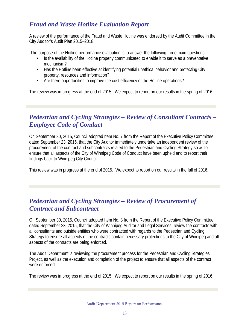### *Fraud and Waste Hotline Evaluation Report*

A review of the performance of the Fraud and Waste Hotline was endorsed by the Audit Committee in the City Auditor's Audit Plan 2015–2018.

The purpose of the Hotline performance evaluation is to answer the following three main questions:

- Is the availability of the Hotline properly communicated to enable it to serve as a preventative mechanism?
- Has the Hotline been effective at identifying potential unethical behavior and protecting City property, resources and information?
- Are there opportunities to improve the cost efficiency of the Hotline operations?

The review was in progress at the end of 2015. We expect to report on our results in the spring of 2016.

### *Pedestrian and Cycling Strategies – Review of Consultant Contracts – Employee Code of Conduct*

On September 30, 2015, Council adopted Item No. 7 from the Report of the Executive Policy Committee dated September 23, 2015, that the City Auditor immediately undertake an independent review of the procurement of the contract and subcontracts related to the Pedestrian and Cycling Strategy so as to ensure that all aspects of the City of Winnipeg Code of Conduct have been upheld and to report their findings back to Winnipeg City Council.

This review was in progress at the end of 2015. We expect to report on our results in the fall of 2016.

### *Pedestrian and Cycling Strategies – Review of Procurement of Contract and Subcontract*

On September 30, 2015, Council adopted Item No. 8 from the Report of the Executive Policy Committee dated September 23, 2015, that the City of Winnipeg Auditor and Legal Services, review the contracts with all consultants and outside entities who were contracted with regards to the Pedestrian and Cycling Strategy to ensure all aspects of the contracts contain necessary protections to the City of Winnipeg and all aspects of the contracts are being enforced.

The Audit Department is reviewing the procurement process for the Pedestrian and Cycling Strategies Project, as well as the execution and completion of the project to ensure that all aspects of the contract were enforced.

The review was in progress at the end of 2015. We expect to report on our results in the spring of 2016.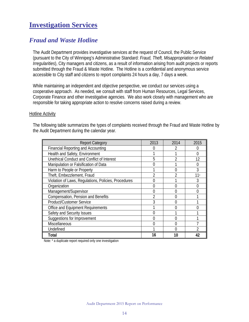### **Investigation Services**

### *Fraud and Waste Hotline*

The Audit Department provides investigative services at the request of Council, the Public Service (pursuant to the City of Winnipeg's Administrative Standard: *Fraud, Theft, Misappropriation or Related Irregularities*), City managers and citizens, as a result of information arising from audit projects or reports submitted through the Fraud & Waste Hotline. The Hotline is a confidential and anonymous service accessible to City staff and citizens to report complaints 24 hours a day, 7 days a week.

While maintaining an independent and objective perspective, we conduct our services using a cooperative approach. As needed, we consult with staff from Human Resources, Legal Services, Corporate Finance and other investigative agencies. We also work closely with management who are responsible for taking appropriate action to resolve concerns raised during a review.

#### Hotline Activity

The following table summarizes the types of complaints received through the Fraud and Waste Hotline by the Audit Department during the calendar year.

| <b>Report Category</b>                               | 2013 | 2014 | 2015  |
|------------------------------------------------------|------|------|-------|
| <b>Financial Reporting and Accounting</b>            |      |      |       |
| Health and Safety, Environment                       |      |      | 0     |
| Unethical Conduct and Conflict of Interest           | 5    |      | 12    |
| Manipulation or Falsification of Data                |      |      |       |
| Harm to People or Property                           |      |      | 3     |
| Theft, Embezzlement, Fraud                           | 2    | 2    | $11*$ |
| Violation of Laws, Regulations, Policies, Procedures |      |      | 3     |
| Organization                                         | 0    |      |       |
| Management/Supervisor                                | 0    |      |       |
| Compensation, Pension and Benefits                   |      |      |       |
| Product/Customer Service                             |      |      |       |
| Office and Equipment Requirements                    |      |      |       |
| Safety and Security Issues                           |      |      |       |
| Suggestions for Improvement                          | O    | U    |       |
| <b>Miscellaneous</b>                                 | O    | O    |       |
| Undefined                                            |      | ∩    |       |
| <b>Total</b>                                         | 16   | 10   | 42    |

Note: \* a duplicate report required only one investigation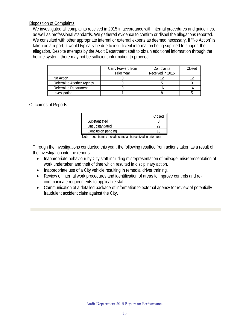#### Disposition of Complaints

We investigated all complaints received in 2015 in accordance with internal procedures and guidelines, as well as professional standards. We gathered evidence to confirm or dispel the allegations reported. We consulted with other appropriate internal or external experts as deemed necessary. If "No Action" is taken on a report, it would typically be due to insufficient information being supplied to support the allegation. Despite attempts by the Audit Department staff to obtain additional information through the hotline system, there may not be sufficient information to proceed.

|                            | Carry Forward from<br>Prior Year | Complaints<br>Received in 2015 | Closed |
|----------------------------|----------------------------------|--------------------------------|--------|
| No Action                  |                                  |                                |        |
| Referral to Another Agency |                                  |                                |        |
| Referral to Department     |                                  |                                |        |
| Investigation              |                                  |                                |        |

#### Outcomes of Reports

|                    | Closed |
|--------------------|--------|
| Substantiated      |        |
| Unsubstantiated    |        |
| Conclusion pending |        |

Note – counts may include complaints received in prior year.

Through the investigations conducted this year, the following resulted from actions taken as a result of the investigation into the reports:

- Inappropriate behaviour by City staff including misrepresentation of mileage, misrepresentation of work undertaken and theft of time which resulted in disciplinary action.
- Inappropriate use of a City vehicle resulting in remedial driver training.
- Review of internal work procedures and identification of areas to improve controls and recommunicate requirements to applicable staff.
- Communication of a detailed package of information to external agency for review of potentially fraudulent accident claim against the City.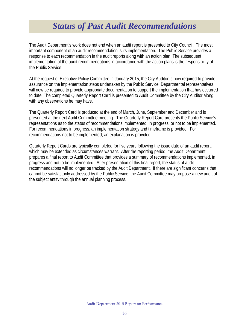# *Status of Past Audit Recommendations*

<span id="page-16-0"></span>The Audit Department's work does not end when an audit report is presented to City Council. The most important component of an audit recommendation is its implementation. The Public Service provides a response to each recommendation in the audit reports along with an action plan. The subsequent implementation of the audit recommendations in accordance with the action plans is the responsibility of the Public Service.

At the request of Executive Policy Committee in January 2015, the City Auditor is now required to provide assurance on the implementation steps undertaken by the Public Service. Departmental representatives will now be required to provide appropriate documentation to support the implementation that has occurred to date. The completed Quarterly Report Card is presented to Audit Committee by the City Auditor along with any observations he may have.

The Quarterly Report Card is produced at the end of March, June, September and December and is presented at the next Audit Committee meeting. The Quarterly Report Card presents the Public Service's representations as to the status of recommendations implemented, in progress, or not to be implemented. For recommendations in progress, an implementation strategy and timeframe is provided. For recommendations not to be implemented, an explanation is provided.

Quarterly Report Cards are typically completed for five years following the issue date of an audit report, which may be extended as circumstances warrant. After the reporting period, the Audit Department prepares a final report to Audit Committee that provides a summary of recommendations implemented, in progress and not to be implemented. After presentation of this final report, the status of audit recommendations will no longer be tracked by the Audit Department. If there are significant concerns that cannot be satisfactorily addressed by the Public Service, the Audit Committee may propose a new audit of the subject entity through the annual planning process.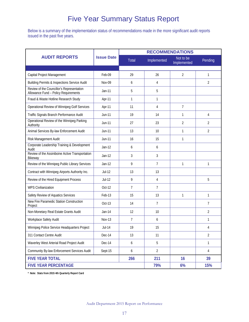### Five Year Summary Status Report

Below is a summary of the implementation status of recommendations made in the more significant audit reports issued in the past five years.

|                                                                                   |                   | <b>RECOMMENDATIONS</b> |                |                          |                |  |
|-----------------------------------------------------------------------------------|-------------------|------------------------|----------------|--------------------------|----------------|--|
| <b>AUDIT REPORTS</b>                                                              | <b>Issue Date</b> | Total                  | Implemented    | Not to be<br>Implemented | Pending        |  |
| Capital Project Management                                                        | Feb-09            | 29                     | 26             | $\overline{2}$           | 1              |  |
| Building Permits & Inspections Service Audit                                      | <b>Nov-09</b>     | 6                      | 4              |                          | $\overline{2}$ |  |
| Review of the Councillor's Representation<br>Allowance Fund - Policy Requirements | $Jan-11$          | 5                      | 5              |                          |                |  |
| Fraud & Waste Hotline Research Study                                              | Apr-11            | 1                      | 1              |                          |                |  |
| Operational Review of Winnipeg Golf Services                                      | Apr-11            | 11                     | 4              | 7                        |                |  |
| Traffic Signals Branch Performance Audit                                          | Jun-11            | 19                     | 14             | 1                        | 4              |  |
| Operational Review of the Winnipeg Parking<br>Authority                           | <b>Jun-11</b>     | 27                     | 23             | $\overline{2}$           | $\overline{2}$ |  |
| Animal Services By-law Enforcement Audit                                          | Jun-11            | 13                     | 10             | 1                        | $\overline{2}$ |  |
| Risk Management Audit                                                             | Jun-11            | 16                     | 15             | 1                        |                |  |
| Corporate Leadership Training & Development<br>Audit                              | $Jan-12$          | 6                      | 6              |                          |                |  |
| Review of the Assiniboine Active Transportation<br>Bikeway                        | $Jan-12$          | 3                      | 3              |                          |                |  |
| Review of the Winnipeg Public Library Services                                    | $Jan-12$          | 9                      | $\overline{7}$ | 1                        | 1              |  |
| Contract with Winnipeg Airports Authority Inc.                                    | Jul-12            | 13                     | 13             |                          |                |  |
| Review of the Hired Equipment Process                                             | Jul-12            | 9                      | $\overline{4}$ |                          | 5              |  |
| <b>WPS Civilianization</b>                                                        | Oct-12            | $\overline{7}$         | $\overline{7}$ |                          |                |  |
| Safety Review of Aquatics Services                                                | Feb-13            | 15                     | 13             | 1                        | $\mathbf{1}$   |  |
| <b>New Fire Paramedic Station Construction</b><br>Project                         | Oct-13            | 14                     | $\overline{7}$ |                          | $\overline{7}$ |  |
| Non-Monetary Real Estate Grants Audit                                             | Jan-14            | 12                     | 10             |                          | $\overline{2}$ |  |
| Workplace Safety Audit                                                            | <b>Nov-13</b>     | $\overline{7}$         | 6              |                          | 1              |  |
| Winnipeg Police Service Headquarters Project                                      | <b>Jul-14</b>     | 19                     | 15             |                          | 4              |  |
| 311 Contact Centre Audit                                                          | Dec-14            | 13                     | 11             |                          | $\overline{2}$ |  |
| Waverley West Arterial Road Project Audit                                         | Dec-14            | 6                      | 5              |                          | 1              |  |
| Community By-law Enforcement Services Audit                                       | Sept-15           | 6                      | $\overline{2}$ |                          | 4              |  |
| <b>FIVE YEAR TOTAL</b>                                                            |                   | 266                    | 211            | 16                       | 39             |  |
| <b>FIVE YEAR PERCENTAGE</b>                                                       |                   |                        | 79%            | 6%                       | 15%            |  |

**\* Note: Stats from 2015 4th Quarterly Report Card**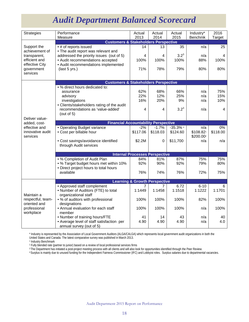# *Audit Department Balanced Scorecard*

<span id="page-18-0"></span>

| <b>Strategies</b>                                                                                          | Performance<br>Measure                                                                                  | Actual<br>2013 | Actual<br>2014 | Actual<br>2015    | Industry*<br>Benchmk              | 2016<br><b>Target</b> |  |
|------------------------------------------------------------------------------------------------------------|---------------------------------------------------------------------------------------------------------|----------------|----------------|-------------------|-----------------------------------|-----------------------|--|
|                                                                                                            | <b>Customers &amp; Stakeholders Perspective</b>                                                         |                |                |                   |                                   |                       |  |
| Support the<br>achievement of<br>transparent,<br>efficient and<br>effective City<br>government<br>services | • # of reports issued<br>• The audit report was relevant and                                            | 14             | 13             | 35                | n/a                               | 25                    |  |
|                                                                                                            | addressed the priority issues (out of 5)<br>• Audit recommendations accepted                            | 4<br>100%      | 4<br>100%      | $3.2^{3}$<br>100% | n/a<br>88%                        | 4<br>100%             |  |
|                                                                                                            | • Audit recommendations implemented<br>(last 5 yrs.)                                                    | 71%            | 78%            | 79%               | 80%                               | 80%                   |  |
|                                                                                                            |                                                                                                         |                |                |                   |                                   |                       |  |
|                                                                                                            | <b>Customers &amp; Stakeholders Perspective</b>                                                         |                |                |                   |                                   |                       |  |
|                                                                                                            | • % direct hours dedicated to:                                                                          |                |                |                   |                                   |                       |  |
|                                                                                                            | assurance                                                                                               | 62%            | 68%            | 66%               | n/a                               | 75%                   |  |
|                                                                                                            | advisory                                                                                                | 22%            | 12%            | 25%               | n/a                               | 15%                   |  |
|                                                                                                            | investigations                                                                                          | 16%            | 20%            | 9%                | n/a                               | 10%                   |  |
|                                                                                                            | • Clients/stakeholders rating of the audit<br>recommendations as 'value-added'                          | 4              | 4              | $3.2^{3}$         | n/a                               | 4                     |  |
| Deliver value-                                                                                             | (out of $5$ )                                                                                           |                |                |                   |                                   |                       |  |
| added, cost-                                                                                               | <b>Financial Accountability Perspective</b>                                                             |                |                |                   |                                   |                       |  |
| effective and                                                                                              | · Operating Budget variance                                                                             | $-2%$          | $-1.7%$        | $-35.3\%$ 4       | n/a                               | 0%                    |  |
| innovative audit<br>services                                                                               | • Cost per billable hour                                                                                | \$117.06       | \$118.03       | \$124.60          | \$108.82<br>\$200.00 <sup>2</sup> | \$118.00              |  |
|                                                                                                            | • Cost savings/avoidance identified<br>through Audit services                                           | \$2.2M         | 0              | \$11,700          | n/a                               | n/a                   |  |
|                                                                                                            |                                                                                                         |                |                |                   |                                   |                       |  |
|                                                                                                            | <b>Internal Processes Perspective</b>                                                                   |                |                |                   |                                   |                       |  |
|                                                                                                            | • % Completion of Audit Plan                                                                            | 84%            | 81%            | 87%               | 75%                               | 75%                   |  |
|                                                                                                            | • % Target budget hours met within 10%<br>• Direct project hours to total hours                         | 92%            | 90%            | 92%               | 79%                               | 80%                   |  |
|                                                                                                            | available                                                                                               | 76%            | 74%            | 76%               | 72%                               | 75%                   |  |
|                                                                                                            | <b>Learning &amp; Growth Perspective</b>                                                                |                |                |                   |                                   |                       |  |
|                                                                                                            | • Approved staff complement                                                                             |                | 7              | 6.72              | $6 - 10$                          | 6                     |  |
| Maintain a<br>respectful, team-<br>oriented and                                                            | • Number of Auditors (FTE) to total<br>organizational staff                                             | 1:1449         | 1:1458         | 1:1518            | 1:1222                            | 1:1701                |  |
|                                                                                                            | • % of auditors with professional<br>designations                                                       | 100%           | 100%           | 100%              | 82%                               | 100%                  |  |
| professional<br>workplace                                                                                  | • Annual evaluation for each staff<br>member                                                            | 100%           | 100%           | 100%              | n/a                               | 100%                  |  |
|                                                                                                            | • Number of training hours/FTE<br>• Average level of staff satisfaction per<br>annual survey (out of 5) | 41<br>4.90     | 14<br>4.90     | 43<br>4.90        | n/a<br>n/a                        | 40<br>4.0             |  |
|                                                                                                            |                                                                                                         |                |                |                   |                                   |                       |  |

\* Industry is represented by the Association of Local Government Auditors (ALGA/CALGA) which represents local government audit organizations in both the United States and Canada. The latest comparative survey was published in March 2013.<br><sup>1</sup> Industry Benchmark

<sup>2</sup> Fully blended rate (partner to junior) based on a review of local professional services firms

3 The Department has initiated a post-project meeting process with all clients and will also look for opportunities identified through the Peer Review.

4 Surplus is mainly due to unused funding for the Independent Fairness Commissioner (IFC) and Lobbyist roles. Surplus salaries due to departmental vacancies.